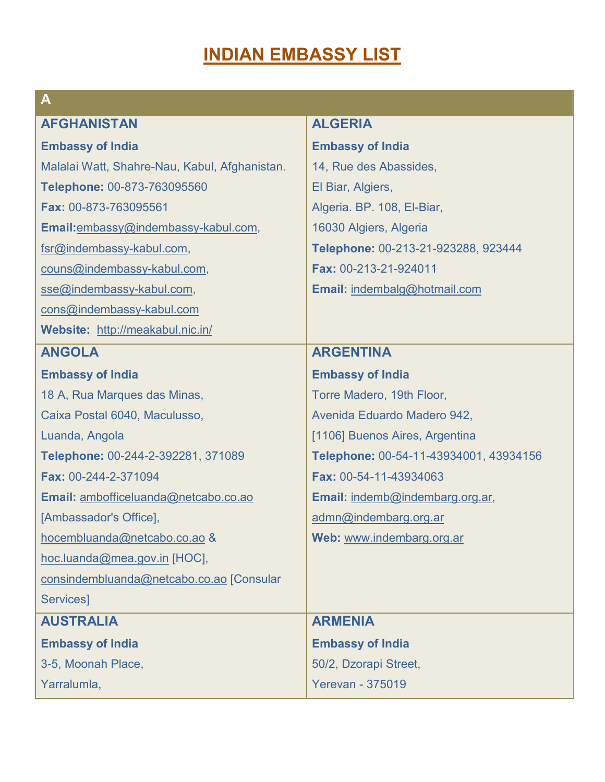# **INDIAN EMBASSY LIST**

| A                                             |                                        |
|-----------------------------------------------|----------------------------------------|
| <b>AFGHANISTAN</b>                            | <b>ALGERIA</b>                         |
| <b>Embassy of India</b>                       | <b>Embassy of India</b>                |
| Malalai Watt, Shahre-Nau, Kabul, Afghanistan. | 14, Rue des Abassides,                 |
| Telephone: 00-873-763095560                   | El Biar, Algiers,                      |
| Fax: 00-873-763095561                         | Algeria. BP. 108, El-Biar,             |
| Email:embassy@indembassy-kabul.com,           | 16030 Algiers, Algeria                 |
| fsr@indembassy-kabul.com,                     | Telephone: 00-213-21-923288, 923444    |
| couns@indembassy-kabul.com,                   | Fax: 00-213-21-924011                  |
| sse@indembassy-kabul.com,                     | Email: indembalg@hotmail.com           |
| cons@indembassy-kabul.com                     |                                        |
| Website: http://meakabul.nic.in/              |                                        |
| <b>ANGOLA</b>                                 | <b>ARGENTINA</b>                       |
| <b>Embassy of India</b>                       | <b>Embassy of India</b>                |
| 18 A, Rua Marques das Minas,                  | Torre Madero, 19th Floor,              |
| Caixa Postal 6040, Maculusso,                 | Avenida Eduardo Madero 942,            |
| Luanda, Angola                                | [1106] Buenos Aires, Argentina         |
| Telephone: 00-244-2-392281, 371089            | Telephone: 00-54-11-43934001, 43934156 |
| Fax: 00-244-2-371094                          | Fax: 00-54-11-43934063                 |
| Email: ambofficeluanda@netcabo.co.ao          | Email: indemb@indembarg.org.ar,        |
| [Ambassador's Office],                        | admn@indembarg.org.ar                  |
| hocembluanda@netcabo.co.ao &                  | Web: www.indembarg.org.ar              |
| hoc.luanda@mea.gov.in [HOC],                  |                                        |
| consindembluanda@netcabo.co.ao [Consular      |                                        |
| Services]                                     |                                        |
| <b>AUSTRALIA</b>                              | <b>ARMENIA</b>                         |
| <b>Embassy of India</b>                       | <b>Embassy of India</b>                |
| 3-5, Moonah Place,                            | 50/2, Dzorapi Street,                  |
| Yarralumla,                                   | <b>Yerevan - 375019</b>                |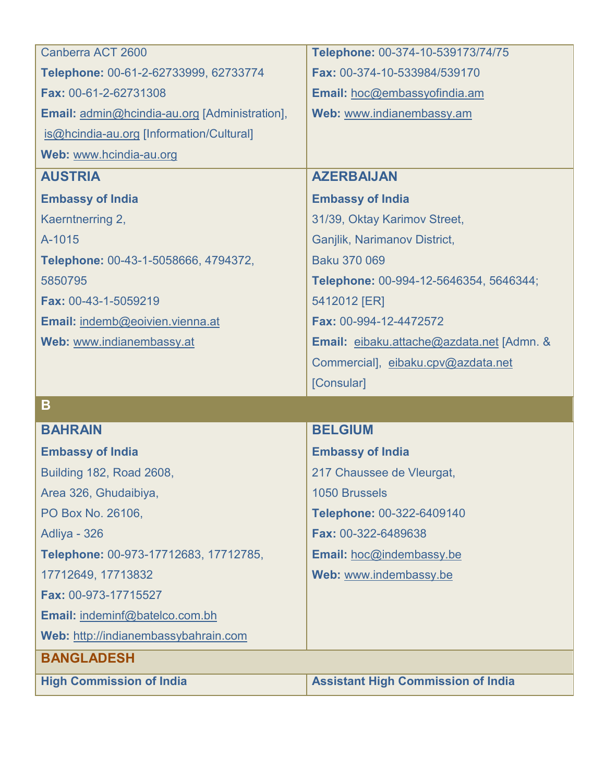| Canberra ACT 2600                             | Telephone: 00-374-10-539173/74/75         |
|-----------------------------------------------|-------------------------------------------|
| Telephone: 00-61-2-62733999, 62733774         | Fax: 00-374-10-533984/539170              |
| Fax: 00-61-2-62731308                         | Email: hoc@embassyofindia.am              |
| Email: admin@hcindia-au.org [Administration], | Web: www.indianembassy.am                 |
| is@hcindia-au.org [Information/Cultural]      |                                           |
| Web: www.hcindia-au.org                       |                                           |
| <b>AUSTRIA</b>                                | <b>AZERBAIJAN</b>                         |
| <b>Embassy of India</b>                       | <b>Embassy of India</b>                   |
| Kaerntnerring 2,                              | 31/39, Oktay Karimov Street,              |
| A-1015                                        | Ganjlik, Narimanov District,              |
| Telephone: 00-43-1-5058666, 4794372,          | Baku 370 069                              |
| 5850795                                       | Telephone: 00-994-12-5646354, 5646344;    |
| Fax: 00-43-1-5059219                          | 5412012 [ER]                              |
| Email: indemb@eoivien.vienna.at               | Fax: 00-994-12-4472572                    |
| Web: www.indianembassy.at                     | Email: eibaku.attache@azdata.net [Admn. & |
|                                               | Commercial], eibaku.cpv@azdata.net        |
|                                               |                                           |
|                                               | [Consular]                                |
| B                                             |                                           |
| <b>BAHRAIN</b>                                | <b>BELGIUM</b>                            |
| <b>Embassy of India</b>                       | <b>Embassy of India</b>                   |
| Building 182, Road 2608,                      | 217 Chaussee de Vleurgat,                 |
| Area 326, Ghudaibiya,                         | 1050 Brussels                             |
| PO Box No. 26106,                             | Telephone: 00-322-6409140                 |
| Adliya - 326                                  | Fax: 00-322-6489638                       |
| Telephone: 00-973-17712683, 17712785,         | Email: hoc@indembassy.be                  |
| 17712649, 17713832                            | Web: www.indembassy.be                    |
| Fax: 00-973-17715527                          |                                           |
| Email: indeminf@batelco.com.bh                |                                           |
| Web: http://indianembassybahrain.com          |                                           |
| <b>BANGLADESH</b>                             |                                           |
| <b>High Commission of India</b>               | <b>Assistant High Commission of India</b> |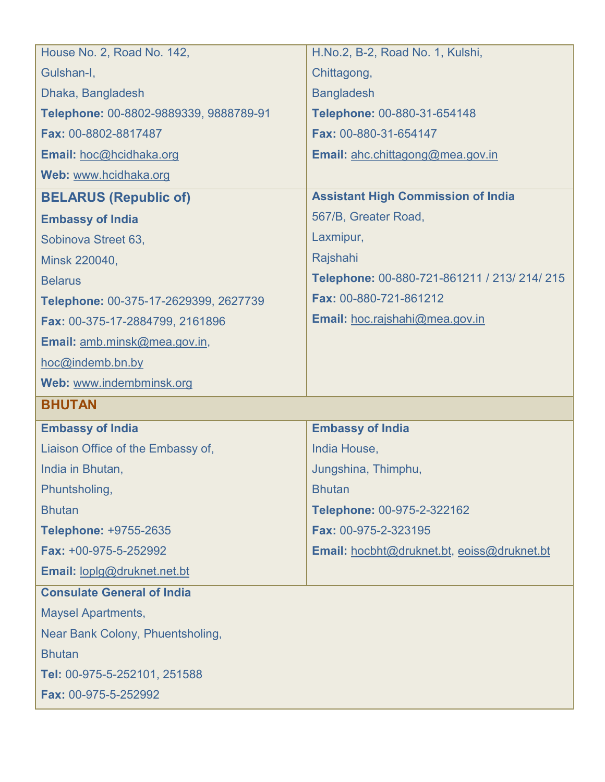| House No. 2, Road No. 142,             | H.No.2, B-2, Road No. 1, Kulshi,             |
|----------------------------------------|----------------------------------------------|
| Gulshan-I,                             | Chittagong,                                  |
| Dhaka, Bangladesh                      | <b>Bangladesh</b>                            |
| Telephone: 00-8802-9889339, 9888789-91 | Telephone: 00-880-31-654148                  |
| Fax: 00-8802-8817487                   | Fax: 00-880-31-654147                        |
| Email: hoc@hcidhaka.org                | Email: ahc.chittagong@mea.gov.in             |
| Web: www.hcidhaka.org                  |                                              |
| <b>BELARUS (Republic of)</b>           | <b>Assistant High Commission of India</b>    |
| <b>Embassy of India</b>                | 567/B, Greater Road,                         |
| Sobinova Street 63,                    | Laxmipur,                                    |
| Minsk 220040,                          | Rajshahi                                     |
| <b>Belarus</b>                         | Telephone: 00-880-721-861211 / 213/ 214/ 215 |
| Telephone: 00-375-17-2629399, 2627739  | Fax: 00-880-721-861212                       |
| Fax: 00-375-17-2884799, 2161896        | Email: hoc.rajshahi@mea.gov.in               |
| Email: amb.minsk@mea.gov.in,           |                                              |
| hoc@indemb.bn.by                       |                                              |
|                                        |                                              |
| Web: www.indembminsk.org               |                                              |
| <b>BHUTAN</b>                          |                                              |
| <b>Embassy of India</b>                | <b>Embassy of India</b>                      |
| Liaison Office of the Embassy of,      | India House,                                 |
| India in Bhutan,                       | Jungshina, Thimphu,                          |
| Phuntsholing,                          | <b>Bhutan</b>                                |
| <b>Bhutan</b>                          | Telephone: 00-975-2-322162                   |
| Telephone: +9755-2635                  | Fax: 00-975-2-323195                         |
| Fax: +00-975-5-252992                  | Email: hocbht@druknet.bt, eoiss@druknet.bt   |
| Email: loplg@druknet.net.bt            |                                              |
| <b>Consulate General of India</b>      |                                              |
| <b>Maysel Apartments,</b>              |                                              |
| Near Bank Colony, Phuentsholing,       |                                              |
| <b>Bhutan</b>                          |                                              |
| Tel: 00-975-5-252101, 251588           |                                              |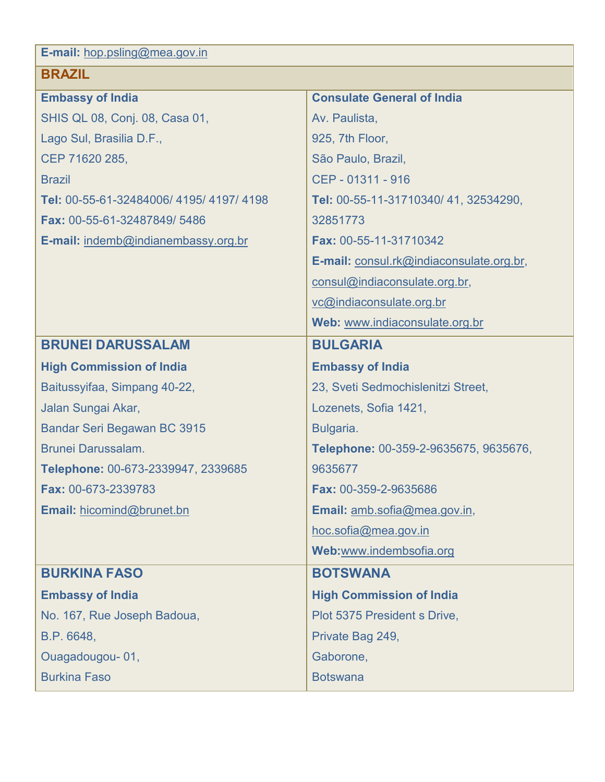**E-mail:** [hop.psling@mea.gov.in](mailto:hop.psling@mea.gov.in)

## **BRAZIL**

| <b>Embassy of India</b>               | <b>Consulate General of India</b>        |
|---------------------------------------|------------------------------------------|
| SHIS QL 08, Conj. 08, Casa 01,        | Av. Paulista,                            |
| Lago Sul, Brasilia D.F.,              | 925, 7th Floor,                          |
| CEP 71620 285,                        | São Paulo, Brazil,                       |
| <b>Brazil</b>                         | CEP - 01311 - 916                        |
| Tel: 00-55-61-32484006/4195/4197/4198 | Tel: 00-55-11-31710340/41, 32534290,     |
| Fax: 00-55-61-32487849/5486           | 32851773                                 |
| E-mail: indemb@indianembassy.org.br   | <b>Fax: 00-55-11-31710342</b>            |
|                                       | E-mail: consul.rk@indiaconsulate.org.br, |
|                                       | consul@indiaconsulate.org.br,            |
|                                       | vc@indiaconsulate.org.br                 |
|                                       | Web: www.indiaconsulate.org.br           |
| <b>BRUNEI DARUSSALAM</b>              | <b>BULGARIA</b>                          |
| <b>High Commission of India</b>       | <b>Embassy of India</b>                  |
| Baitussyifaa, Simpang 40-22,          | 23, Sveti Sedmochislenitzi Street,       |
| Jalan Sungai Akar,                    | Lozenets, Sofia 1421,                    |
| Bandar Seri Begawan BC 3915           | Bulgaria.                                |
| Brunei Darussalam.                    | Telephone: 00-359-2-9635675, 9635676,    |
| Telephone: 00-673-2339947, 2339685    | 9635677                                  |
| <b>Fax: 00-673-2339783</b>            | <b>Fax: 00-359-2-9635686</b>             |
| <b>Email: hicomind@brunet.bn</b>      | Email: amb.sofia@mea.gov.in,             |
|                                       | hoc.sofia@mea.gov.in                     |
|                                       | Web:www.indembsofia.org                  |
| <b>BURKINA FASO</b>                   | <b>BOTSWANA</b>                          |
| <b>Embassy of India</b>               | <b>High Commission of India</b>          |
| No. 167, Rue Joseph Badoua,           | Plot 5375 President s Drive,             |
| B.P. 6648,                            | Private Bag 249,                         |
| Ouagadougou-01,                       | Gaborone,                                |
| <b>Burkina Faso</b>                   | <b>Botswana</b>                          |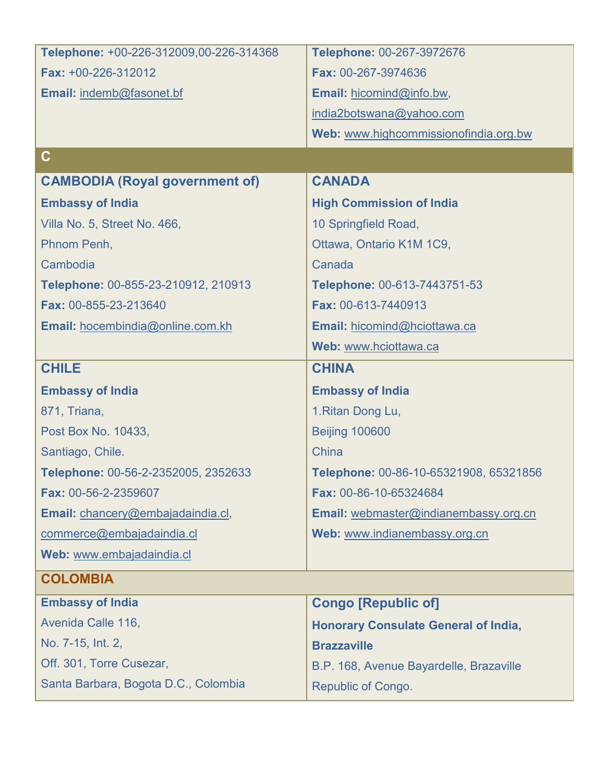| Telephone: +00-226-312009,00-226-314368 | Telephone: 00-267-3972676                   |
|-----------------------------------------|---------------------------------------------|
| Fax: +00-226-312012                     | Fax: 00-267-3974636                         |
| Email: indemb@fasonet.bf                | Email: hicomind@info.bw,                    |
|                                         | india2botswana@yahoo.com                    |
|                                         | Web: www.highcommissionofindia.org.bw       |
| $\mathbf C$                             |                                             |
| <b>CAMBODIA (Royal government of)</b>   | <b>CANADA</b>                               |
| <b>Embassy of India</b>                 | <b>High Commission of India</b>             |
| Villa No. 5, Street No. 466,            | 10 Springfield Road,                        |
| Phnom Penh,                             | Ottawa, Ontario K1M 1C9,                    |
| Cambodia                                | Canada                                      |
| Telephone: 00-855-23-210912, 210913     | Telephone: 00-613-7443751-53                |
| Fax: 00-855-23-213640                   | Fax: 00-613-7440913                         |
| Email: hocembindia@online.com.kh        | Email: hicomind@hciottawa.ca                |
|                                         | Web: www.hciottawa.ca                       |
| <b>CHILE</b>                            | <b>CHINA</b>                                |
| <b>Embassy of India</b>                 | <b>Embassy of India</b>                     |
| 871, Triana,                            | 1. Ritan Dong Lu,                           |
| Post Box No. 10433,                     | <b>Beijing 100600</b>                       |
| Santiago, Chile.                        | China                                       |
| Telephone: 00-56-2-2352005, 2352633     | Telephone: 00-86-10-65321908, 65321856      |
| Fax: 00-56-2-2359607                    | Fax: 00-86-10-65324684                      |
| Email: chancery@embajadaindia.cl,       | Email: webmaster@indianembassy.org.cn       |
| commerce@embajadaindia.cl               | Web: www.indianembassy.org.cn               |
| Web: www.embajadaindia.cl               |                                             |
| <b>COLOMBIA</b>                         |                                             |
| <b>Embassy of India</b>                 | <b>Congo [Republic of]</b>                  |
| Avenida Calle 116,                      | <b>Honorary Consulate General of India,</b> |
| No. 7-15, Int. 2,                       | <b>Brazzaville</b>                          |
| Off. 301, Torre Cusezar,                | B.P. 168, Avenue Bayardelle, Brazaville     |
| Santa Barbara, Bogota D.C., Colombia    | <b>Republic of Congo.</b>                   |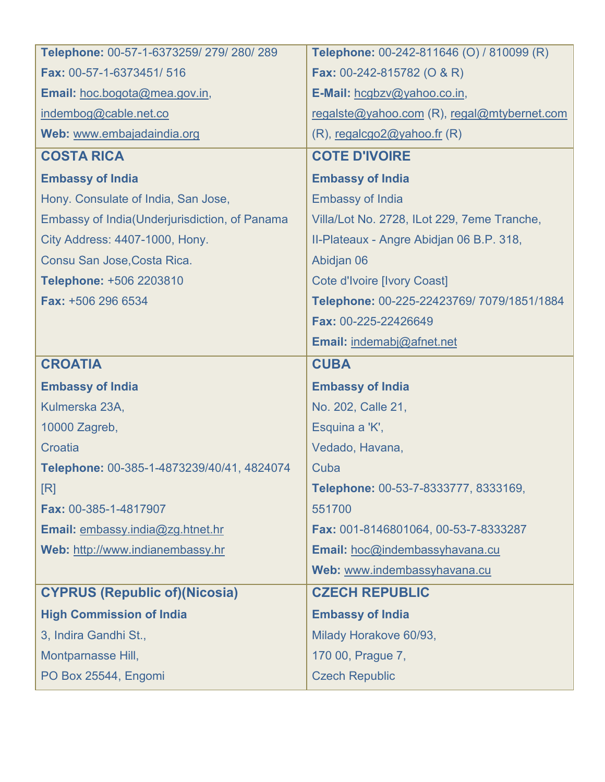| Telephone: 00-57-1-6373259/279/280/289         | Telephone: 00-242-811646 (O) / 810099 (R)   |
|------------------------------------------------|---------------------------------------------|
| Fax: 00-57-1-6373451/516                       | <b>Fax:</b> 00-242-815782 (O & R)           |
| Email: hoc.bogota@mea.gov.in,                  | E-Mail: hcgbzv@yahoo.co.in,                 |
| indembog@cable.net.co                          | regalste@yahoo.com (R), regal@mtybernet.com |
| Web: www.embajadaindia.org                     | $(R)$ , regalcgo2@yahoo.fr $(R)$            |
| <b>COSTA RICA</b>                              | <b>COTE D'IVOIRE</b>                        |
| <b>Embassy of India</b>                        | <b>Embassy of India</b>                     |
| Hony. Consulate of India, San Jose,            | <b>Embassy of India</b>                     |
| Embassy of India (Underjurisdiction, of Panama | Villa/Lot No. 2728, ILot 229, 7eme Tranche, |
| City Address: 4407-1000, Hony.                 | II-Plateaux - Angre Abidjan 06 B.P. 318,    |
| Consu San Jose, Costa Rica.                    | Abidjan 06                                  |
| Telephone: +506 2203810                        | <b>Cote d'Ivoire [Ivory Coast]</b>          |
| Fax: +506 296 6534                             | Telephone: 00-225-22423769/7079/1851/1884   |
|                                                | Fax: 00-225-22426649                        |
|                                                | Email: indemabj@afnet.net                   |
| <b>CROATIA</b>                                 | <b>CUBA</b>                                 |
|                                                |                                             |
| <b>Embassy of India</b>                        | <b>Embassy of India</b>                     |
| Kulmerska 23A,                                 | No. 202, Calle 21,                          |
| 10000 Zagreb,                                  | Esquina a 'K',                              |
| Croatia                                        | Vedado, Havana,                             |
| Telephone: 00-385-1-4873239/40/41, 4824074     | Cuba                                        |
| [R]                                            | Telephone: 00-53-7-8333777, 8333169,        |
| Fax: 00-385-1-4817907                          | 551700                                      |
| Email: embassy.india@zg.htnet.hr               | Fax: 001-8146801064, 00-53-7-8333287        |
| Web: http://www.indianembassy.hr               | Email: hoc@indembassyhavana.cu              |
|                                                | Web: www.indembassyhavana.cu                |
| <b>CYPRUS (Republic of)(Nicosia)</b>           | <b>CZECH REPUBLIC</b>                       |
| <b>High Commission of India</b>                | <b>Embassy of India</b>                     |
| 3, Indira Gandhi St.,                          | Milady Horakove 60/93,                      |
| Montparnasse Hill,                             | 170 00, Prague 7,                           |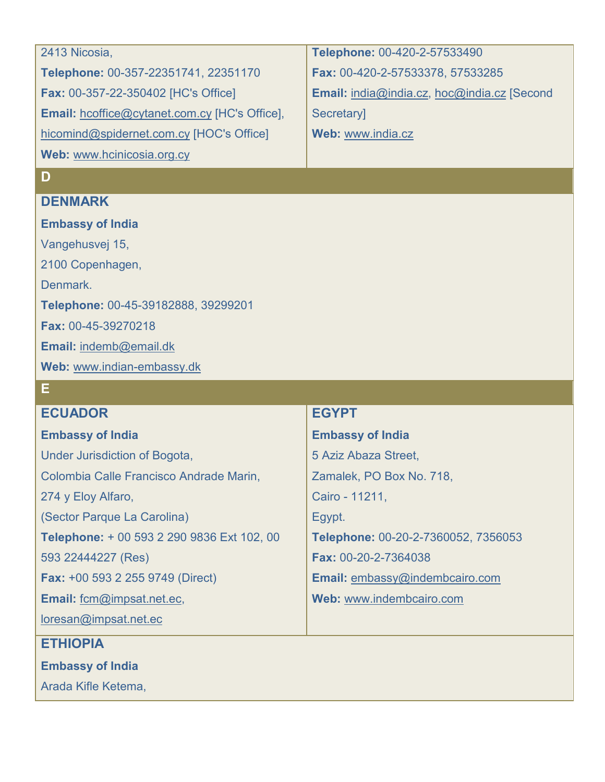| 2413 Nicosia,                                        | Telephone: 00-420-2-57533490                |
|------------------------------------------------------|---------------------------------------------|
| Telephone: 00-357-22351741, 22351170                 | Fax: 00-420-2-57533378, 57533285            |
| <b>Fax: 00-357-22-350402 [HC's Office]</b>           | Email: india@india.cz, hoc@india.cz [Second |
| <b>Email:</b> hcoffice@cytanet.com.cy [HC's Office], | <b>Secretary</b>                            |
| hicomind@spidernet.com.cy [HOC's Office]             | Web: www.india.cz                           |
| Web: www.hcinicosia.org.cy                           |                                             |

### **D**

#### **DENMARK**

**Embassy of India** Vangehusvej 15, 2100 Copenhagen, Denmark. **Telephone:** 00-45-39182888, 39299201 **Fax:** 00-45-39270218 **Email:** [indemb@email.dk](mailto:indemb@email.dk) **Web:** [www.indian-embassy.dk](http://www.indian-embassy.dk/)

### **E**

#### **ECUADOR**

**Embassy of India**

Under Jurisdiction of Bogota, Colombia Calle Francisco Andrade Marin, 274 y Eloy Alfaro, (Sector Parque La Carolina) **Telephone:** + 00 593 2 290 9836 Ext 102, 00 593 22444227 (Res) **Fax:** +00 593 2 255 9749 (Direct)

**Email:** [fcm@impsat.net.ec,](mailto:fcm@impsat.net.ec) 

[loresan@impsat.net.ec](mailto:loresan@impsat.net.ec)

### **ETHIOPIA**

**Embassy of India** 

Arada Kifle Ketema,

### **EGYPT**

**Embassy of India** 5 Aziz Abaza Street, Zamalek, PO Box No. 718, Cairo - 11211, Egypt. **Telephone:** 00-20-2-7360052, 7356053 **Fax:** 00-20-2-7364038 **Email:** [embassy@indembcairo.com](mailto:embassy@indembcairo.com) **Web:** [www.indembcairo.com](http://www.indembcairo.com/)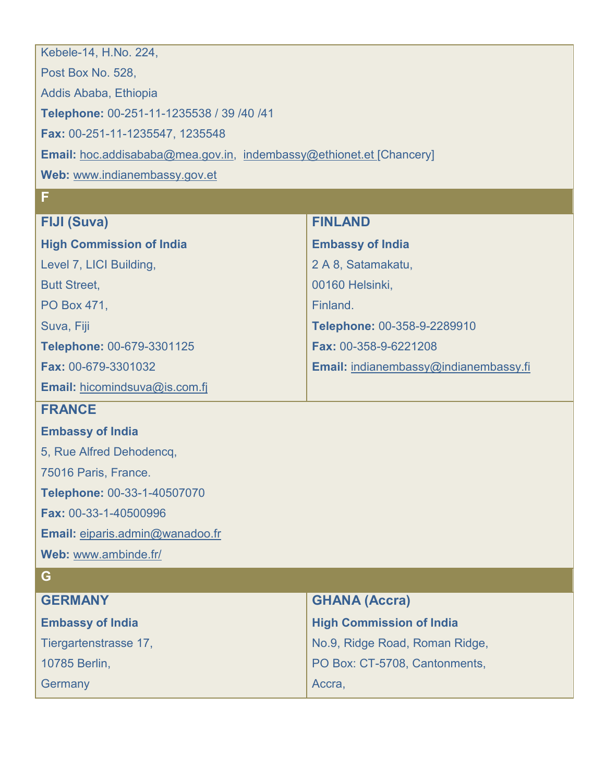| Kebele-14, H.No. 224,                                                      |                                       |  |
|----------------------------------------------------------------------------|---------------------------------------|--|
| Post Box No. 528,                                                          |                                       |  |
| Addis Ababa, Ethiopia                                                      |                                       |  |
| Telephone: 00-251-11-1235538 / 39 / 40 / 41                                |                                       |  |
| Fax: 00-251-11-1235547, 1235548                                            |                                       |  |
| <b>Email:</b> hoc.addisababa@mea.gov.in, indembassy@ethionet.et [Chancery] |                                       |  |
| Web: www.indianembassy.gov.et                                              |                                       |  |
| F                                                                          |                                       |  |
| <b>FIJI (Suva)</b>                                                         | <b>FINLAND</b>                        |  |
| <b>High Commission of India</b>                                            | <b>Embassy of India</b>               |  |
| Level 7, LICI Building,                                                    | 2 A 8, Satamakatu,                    |  |
| <b>Butt Street,</b>                                                        | 00160 Helsinki,                       |  |
| PO Box 471,                                                                | Finland.                              |  |
| Suva, Fiji                                                                 | Telephone: 00-358-9-2289910           |  |
| Telephone: 00-679-3301125                                                  | Fax: 00-358-9-6221208                 |  |
| Fax: 00-679-3301032                                                        | Email: indianembassy@indianembassy.fi |  |
| Email: hicomindsuva@is.com.fj                                              |                                       |  |
| <b>FRANCE</b>                                                              |                                       |  |
| <b>Embassy of India</b>                                                    |                                       |  |
| 5, Rue Alfred Dehodencq,                                                   |                                       |  |
| 75016 Paris, France.                                                       |                                       |  |
| Telephone: 00-33-1-40507070                                                |                                       |  |
| Fax: 00-33-1-40500996                                                      |                                       |  |
| Email: eiparis.admin@wanadoo.fr                                            |                                       |  |
| Web: www.ambinde.fr/                                                       |                                       |  |
| G                                                                          |                                       |  |
| <b>GERMANY</b>                                                             | <b>GHANA (Accra)</b>                  |  |
| <b>Embassy of India</b>                                                    | <b>High Commission of India</b>       |  |
| Tiergartenstrasse 17,                                                      | No.9, Ridge Road, Roman Ridge,        |  |
| 10785 Berlin,                                                              | PO Box: CT-5708, Cantonments,         |  |
| Germany                                                                    | Accra,                                |  |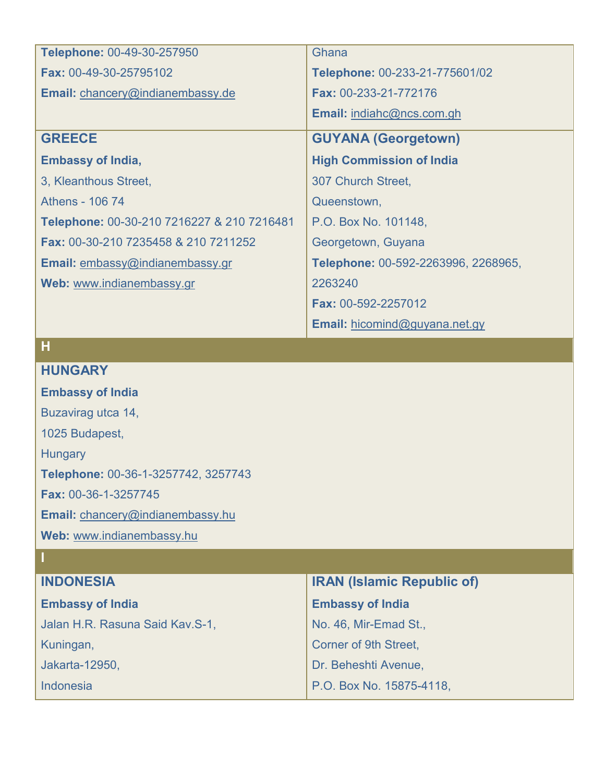| Telephone: 00-49-30-257950                 | Ghana                               |
|--------------------------------------------|-------------------------------------|
| <b>Fax: 00-49-30-25795102</b>              | Telephone: 00-233-21-775601/02      |
| Email: chancery@indianembassy.de           | Fax: 00-233-21-772176               |
|                                            | Email: indiahc@ncs.com.gh           |
| <b>GREECE</b>                              | <b>GUYANA (Georgetown)</b>          |
| <b>Embassy of India,</b>                   | <b>High Commission of India</b>     |
| 3, Kleanthous Street,                      | 307 Church Street,                  |
| Athens - 106 74                            | Queenstown,                         |
| Telephone: 00-30-210 7216227 & 210 7216481 | P.O. Box No. 101148,                |
| Fax: 00-30-210 7235458 & 210 7211252       | Georgetown, Guyana                  |
| Email: embassy@indianembassy.gr            | Telephone: 00-592-2263996, 2268965, |
| Web: www.indianembassy.gr                  | 2263240                             |
|                                            | <b>Fax: 00-592-2257012</b>          |
|                                            | Email: hicomind@guyana.net.gy       |

**H**

### **HUNGARY**

| <b>Embassy of India</b>                 |
|-----------------------------------------|
| Buzavirag utca 14,                      |
| 1025 Budapest,                          |
| <b>Hungary</b>                          |
| Telephone: 00-36-1-3257742, 3257743     |
| <b>Fax: 00-36-1-3257745</b>             |
| <b>Email:</b> chancery@indianembassy.hu |
| Web: www.indianembassy.hu               |
|                                         |

| <b>INDONESIA</b>                | <b>IRAN (Islamic Republic of)</b> |
|---------------------------------|-----------------------------------|
| <b>Embassy of India</b>         | <b>Embassy of India</b>           |
| Jalan H.R. Rasuna Said Kav.S-1, | No. 46, Mir-Emad St.,             |
| Kuningan,                       | Corner of 9th Street,             |
| Jakarta-12950,                  | Dr. Beheshti Avenue,              |
| <b>Indonesia</b>                | P.O. Box No. 15875-4118,          |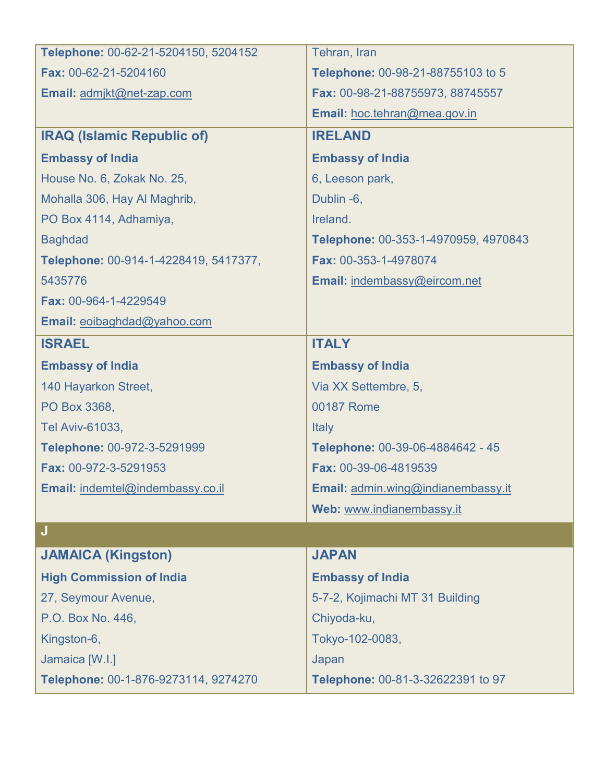| Telephone: 00-62-21-5204150, 5204152  | Tehran, Iran                         |
|---------------------------------------|--------------------------------------|
| Fax: 00-62-21-5204160                 | Telephone: 00-98-21-88755103 to 5    |
| Email: admikt@net-zap.com             | Fax: 00-98-21-88755973, 88745557     |
|                                       | Email: hoc.tehran@mea.gov.in         |
| <b>IRAQ (Islamic Republic of)</b>     | <b>IRELAND</b>                       |
| <b>Embassy of India</b>               | <b>Embassy of India</b>              |
| House No. 6, Zokak No. 25,            | 6, Leeson park,                      |
| Mohalla 306, Hay Al Maghrib,          | Dublin -6,                           |
| PO Box 4114, Adhamiya,                | Ireland.                             |
| <b>Baghdad</b>                        | Telephone: 00-353-1-4970959, 4970843 |
| Telephone: 00-914-1-4228419, 5417377, | Fax: 00-353-1-4978074                |
| 5435776                               | Email: indembassy@eircom.net         |
| Fax: 00-964-1-4229549                 |                                      |
| Email: eoibaghdad@yahoo.com           |                                      |
| <b>ISRAEL</b>                         | <b>ITALY</b>                         |
| <b>Embassy of India</b>               | <b>Embassy of India</b>              |
| 140 Hayarkon Street,                  | Via XX Settembre, 5,                 |
| PO Box 3368,                          | 00187 Rome                           |
| Tel Aviv-61033,                       | Italy                                |
| Telephone: 00-972-3-5291999           | Telephone: 00-39-06-4884642 - 45     |
| Fax: 00-972-3-5291953                 | Fax: 00-39-06-4819539                |
| Email: indemtel@indembassy.co.il      | Email: admin.wing@indianembassy.it   |
|                                       | Web: www.indianembassy.it            |
| J                                     |                                      |
| <b>JAMAICA (Kingston)</b>             | <b>JAPAN</b>                         |
| <b>High Commission of India</b>       | <b>Embassy of India</b>              |
| 27, Seymour Avenue,                   | 5-7-2, Kojimachi MT 31 Building      |
| P.O. Box No. 446,                     | Chiyoda-ku,                          |
| Kingston-6,                           | Tokyo-102-0083,                      |
| Jamaica [W.I.]                        | Japan                                |
| Telephone: 00-1-876-9273114, 9274270  | Telephone: 00-81-3-32622391 to 97    |
|                                       |                                      |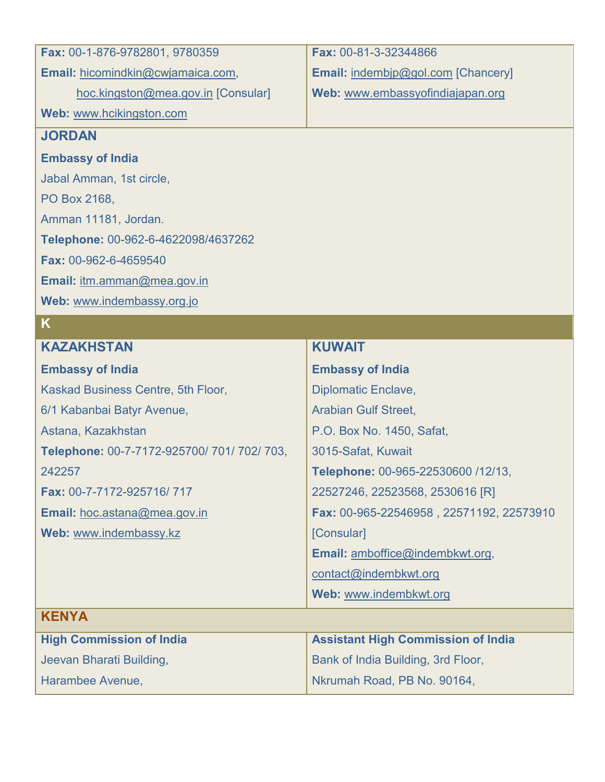| Fax: 00-1-876-9782801, 9780359              | Fax: 00-81-3-32344866                     |
|---------------------------------------------|-------------------------------------------|
| Email: hicomindkin@cwjamaica.com,           | Email: indembip@gol.com [Chancery]        |
| hoc.kingston@mea.gov.in [Consular]          | Web: www.embassyofindiajapan.org          |
| Web: www.hcikingston.com                    |                                           |
| <b>JORDAN</b>                               |                                           |
| <b>Embassy of India</b>                     |                                           |
| Jabal Amman, 1st circle,                    |                                           |
| PO Box 2168,                                |                                           |
| Amman 11181, Jordan.                        |                                           |
| Telephone: 00-962-6-4622098/4637262         |                                           |
| Fax: 00-962-6-4659540                       |                                           |
| Email: itm.amman@mea.gov.in                 |                                           |
| Web: www.indembassy.org.jo                  |                                           |
| K                                           |                                           |
| <b>KAZAKHSTAN</b>                           | <b>KUWAIT</b>                             |
| <b>Embassy of India</b>                     | <b>Embassy of India</b>                   |
| Kaskad Business Centre, 5th Floor,          | <b>Diplomatic Enclave,</b>                |
| 6/1 Kabanbai Batyr Avenue,                  | <b>Arabian Gulf Street,</b>               |
| Astana, Kazakhstan                          | P.O. Box No. 1450, Safat,                 |
| Telephone: 00-7-7172-925700/ 701/ 702/ 703, | 3015-Safat, Kuwait                        |
| 242257                                      | Telephone: 00-965-22530600 /12/13,        |
| Fax: 00-7-7172-925716/717                   | 22527246, 22523568, 2530616 [R]           |
| Email: hoc.astana@mea.gov.in                | Fax: 00-965-22546958, 22571192, 22573910  |
| Web: www.indembassy.kz                      | [Consular]                                |
|                                             | Email: amboffice@indembkwt.org,           |
|                                             | contact@indembkwt.org                     |
|                                             | Web: www.indembkwt.org                    |
| <b>KENYA</b>                                |                                           |
| <b>High Commission of India</b>             | <b>Assistant High Commission of India</b> |
| Jeevan Bharati Building,                    | Bank of India Building, 3rd Floor,        |
| Harambee Avenue,                            | Nkrumah Road, PB No. 90164,               |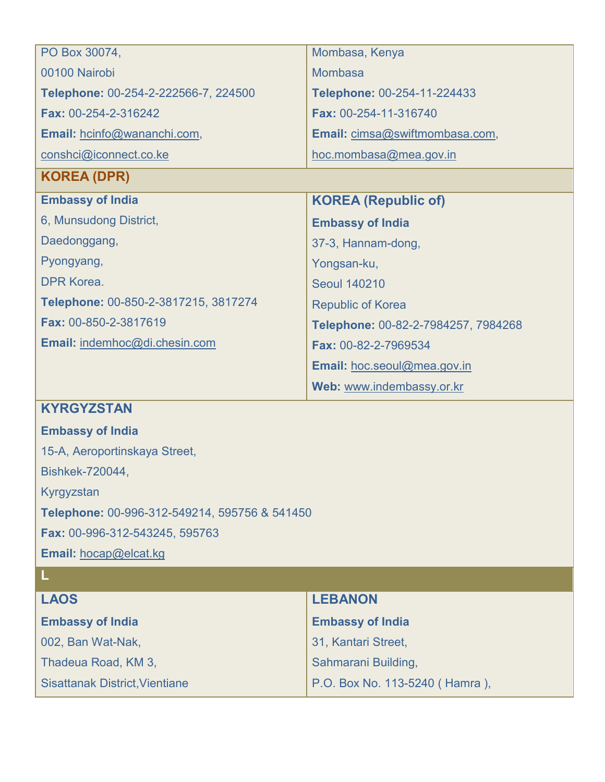| PO Box 30074,                                 | Mombasa, Kenya                      |
|-----------------------------------------------|-------------------------------------|
| 00100 Nairobi                                 | <b>Mombasa</b>                      |
| Telephone: 00-254-2-222566-7, 224500          | Telephone: 00-254-11-224433         |
| Fax: 00-254-2-316242                          | Fax: 00-254-11-316740               |
| Email: hcinfo@wananchi.com,                   | Email: cimsa@swiftmombasa.com,      |
| conshci@iconnect.co.ke                        | hoc.mombasa@mea.gov.in              |
| <b>KOREA (DPR)</b>                            |                                     |
| <b>Embassy of India</b>                       | <b>KOREA (Republic of)</b>          |
| 6, Munsudong District,                        | <b>Embassy of India</b>             |
| Daedonggang,                                  | 37-3, Hannam-dong,                  |
| Pyongyang,                                    | Yongsan-ku,                         |
| DPR Korea.                                    | <b>Seoul 140210</b>                 |
| Telephone: 00-850-2-3817215, 3817274          | <b>Republic of Korea</b>            |
| Fax: 00-850-2-3817619                         | Telephone: 00-82-2-7984257, 7984268 |
| Email: indemhoc@di.chesin.com                 | Fax: 00-82-2-7969534                |
|                                               | Email: hoc.seoul@mea.gov.in         |
|                                               | Web: www.indembassy.or.kr           |
| <b>KYRGYZSTAN</b>                             |                                     |
| <b>Embassy of India</b>                       |                                     |
| 15-A, Aeroportinskaya Street,                 |                                     |
| Bishkek-720044,                               |                                     |
| Kyrgyzstan                                    |                                     |
| Telephone: 00-996-312-549214, 595756 & 541450 |                                     |

**Fax:** 00-996-312-543245, 595763 **Email:** [hocap@elcat.kg](mailto:hocap@elcat.kg)

| <b>LAOS</b>                           | <b>LEBANON</b>                 |
|---------------------------------------|--------------------------------|
| <b>Embassy of India</b>               | <b>Embassy of India</b>        |
| 002, Ban Wat-Nak,                     | 31, Kantari Street,            |
| Thadeua Road, KM 3,                   | Sahmarani Building,            |
| <b>Sisattanak District, Vientiane</b> | P.O. Box No. 113-5240 (Hamra), |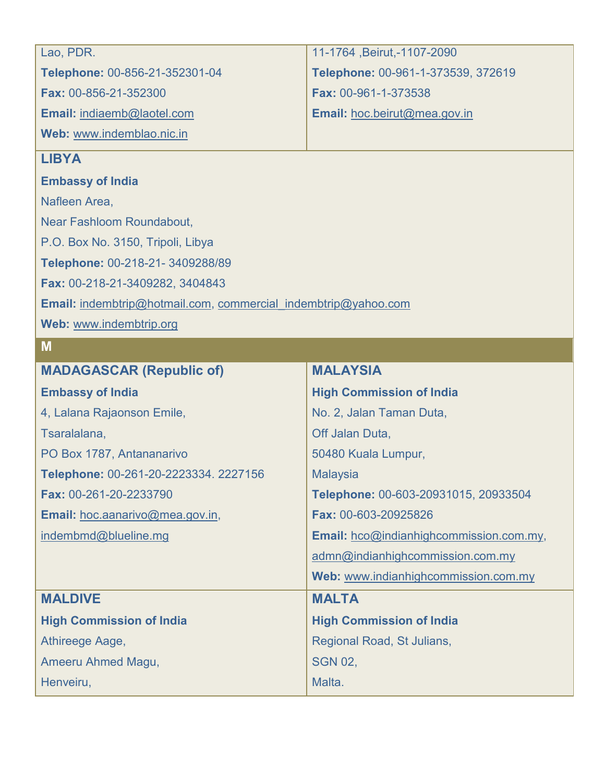| Lao, PDR.                                                      | 11-1764, Beirut, -1107-2090             |  |
|----------------------------------------------------------------|-----------------------------------------|--|
| Telephone: 00-856-21-352301-04                                 | Telephone: 00-961-1-373539, 372619      |  |
| Fax: 00-856-21-352300                                          | Fax: 00-961-1-373538                    |  |
| Email: indiaemb@laotel.com                                     | Email: hoc.beirut@mea.gov.in            |  |
| Web: www.indemblao.nic.in                                      |                                         |  |
| <b>LIBYA</b>                                                   |                                         |  |
| <b>Embassy of India</b>                                        |                                         |  |
| Nafleen Area,                                                  |                                         |  |
| Near Fashloom Roundabout,                                      |                                         |  |
| P.O. Box No. 3150, Tripoli, Libya                              |                                         |  |
| Telephone: 00-218-21-3409288/89                                |                                         |  |
| Fax: 00-218-21-3409282, 3404843                                |                                         |  |
| Email: indembtrip@hotmail.com, commercial indembtrip@yahoo.com |                                         |  |
| Web: www.indembtrip.org                                        |                                         |  |
| M                                                              |                                         |  |
| <b>MADAGASCAR (Republic of)</b>                                | <b>MALAYSIA</b>                         |  |
| <b>Embassy of India</b>                                        | <b>High Commission of India</b>         |  |
| 4, Lalana Rajaonson Emile,                                     | No. 2, Jalan Taman Duta,                |  |
| Tsaralalana,                                                   | Off Jalan Duta,                         |  |
| PO Box 1787, Antananarivo                                      | 50480 Kuala Lumpur,                     |  |
| Telephone: 00-261-20-2223334. 2227156                          | <b>Malaysia</b>                         |  |
| Fax: 00-261-20-2233790                                         | Telephone: 00-603-20931015, 20933504    |  |
| Email: hoc.aanarivo@mea.gov.in,                                | Fax: 00-603-20925826                    |  |
| indembmd@blueline.mg                                           | Email: hco@indianhighcommission.com.my, |  |
|                                                                | admn@indianhighcommission.com.my        |  |

**Web:** [www.indianhighcommission.com.my](http://www.indianhighcommission.com.my/) 

|                                 | <b>Web:</b> www.indianhighcommission.com.my |
|---------------------------------|---------------------------------------------|
| <b>MALDIVE</b>                  | <b>MALTA</b>                                |
| <b>High Commission of India</b> | <b>High Commission of India</b>             |
| Athireege Aage,                 | Regional Road, St Julians,                  |
| Ameeru Ahmed Magu,              | <b>SGN 02,</b>                              |
| Henveiru,                       | Malta.                                      |
|                                 |                                             |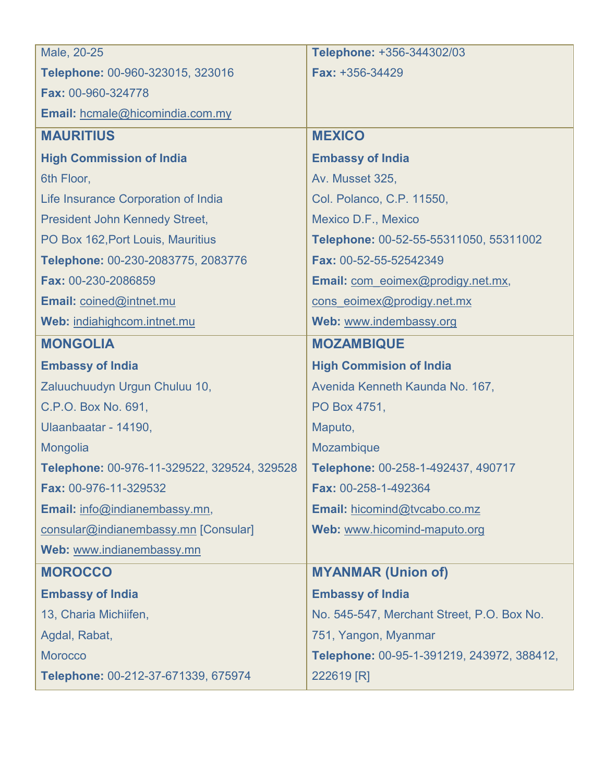| Male, 20-25                                 | Telephone: +356-344302/03                  |
|---------------------------------------------|--------------------------------------------|
| Telephone: 00-960-323015, 323016            | <b>Fax: +356-34429</b>                     |
| Fax: 00-960-324778                          |                                            |
| Email: hcmale@hicomindia.com.my             |                                            |
| <b>MAURITIUS</b>                            | <b>MEXICO</b>                              |
| <b>High Commission of India</b>             | <b>Embassy of India</b>                    |
| 6th Floor,                                  | Av. Musset 325,                            |
| Life Insurance Corporation of India         | Col. Polanco, C.P. 11550,                  |
| <b>President John Kennedy Street,</b>       | Mexico D.F., Mexico                        |
| PO Box 162, Port Louis, Mauritius           | Telephone: 00-52-55-55311050, 55311002     |
| Telephone: 00-230-2083775, 2083776          | Fax: 00-52-55-52542349                     |
| Fax: 00-230-2086859                         | Email: com_eoimex@prodigy.net.mx,          |
| Email: coined@intnet.mu                     | cons eoimex@prodigy.net.mx                 |
| Web: indiahighcom.intnet.mu                 | Web: www.indembassy.org                    |
| <b>MONGOLIA</b>                             | <b>MOZAMBIQUE</b>                          |
| <b>Embassy of India</b>                     | <b>High Commision of India</b>             |
| Zaluuchuudyn Urgun Chuluu 10,               | Avenida Kenneth Kaunda No. 167,            |
| C.P.O. Box No. 691,                         | PO Box 4751,                               |
| Ulaanbaatar - 14190,                        | Maputo,                                    |
| Mongolia                                    | Mozambique                                 |
| Telephone: 00-976-11-329522, 329524, 329528 | Telephone: 00-258-1-492437, 490717         |
| Fax: 00-976-11-329532                       | Fax: 00-258-1-492364                       |
| Email: info@indianembassy.mn,               | Email: hicomind@tvcabo.co.mz               |
| consular@indianembassy.mn [Consular]        | Web: www.hicomind-maputo.org               |
| Web: www.indianembassy.mn                   |                                            |
| <b>MOROCCO</b>                              | <b>MYANMAR (Union of)</b>                  |
| <b>Embassy of India</b>                     | <b>Embassy of India</b>                    |
| 13, Charia Michiifen,                       | No. 545-547, Merchant Street, P.O. Box No. |
| Agdal, Rabat,                               | 751, Yangon, Myanmar                       |
| <b>Morocco</b>                              | Telephone: 00-95-1-391219, 243972, 388412, |
| Telephone: 00-212-37-671339, 675974         | 222619 [R]                                 |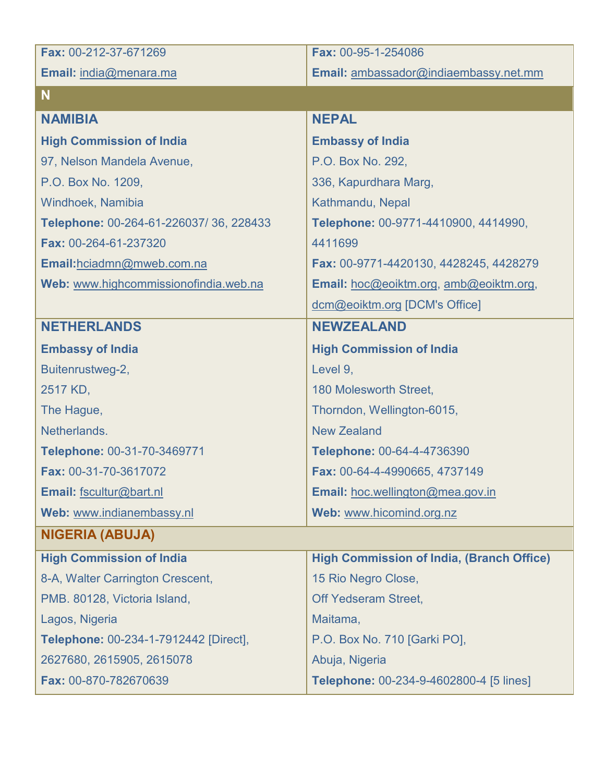| Fax: 00-212-37-671269                  | Fax: 00-95-1-254086                              |
|----------------------------------------|--------------------------------------------------|
| Email: india@menara.ma                 | Email: ambassador@indiaembassy.net.mm            |
| <b>N</b>                               |                                                  |
| <b>NAMIBIA</b>                         | <b>NEPAL</b>                                     |
| <b>High Commission of India</b>        | <b>Embassy of India</b>                          |
| 97, Nelson Mandela Avenue,             | P.O. Box No. 292,                                |
| P.O. Box No. 1209,                     | 336, Kapurdhara Marg,                            |
| Windhoek, Namibia                      | Kathmandu, Nepal                                 |
| Telephone: 00-264-61-226037/36, 228433 | Telephone: 00-9771-4410900, 4414990,             |
| Fax: 00-264-61-237320                  | 4411699                                          |
| Email:hciadmn@mweb.com.na              | Fax: 00-9771-4420130, 4428245, 4428279           |
| Web: www.highcommissionofindia.web.na  | Email: hoc@eoiktm.org, amb@eoiktm.org,           |
|                                        | dcm@eoiktm.org [DCM's Office]                    |
| <b>NETHERLANDS</b>                     | <b>NEWZEALAND</b>                                |
| <b>Embassy of India</b>                | <b>High Commission of India</b>                  |
| Buitenrustweg-2,                       | Level 9,                                         |
| 2517 KD,                               | 180 Molesworth Street,                           |
| The Hague,                             | Thorndon, Wellington-6015,                       |
| Netherlands.                           | <b>New Zealand</b>                               |
| Telephone: 00-31-70-3469771            | Telephone: 00-64-4-4736390                       |
| Fax: 00-31-70-3617072                  | Fax: 00-64-4-4990665, 4737149                    |
| Email: fscultur@bart.nl                | Email: hoc.wellington@mea.gov.in                 |
| Web: www.indianembassy.nl              | Web: www.hicomind.org.nz                         |
| <b>NIGERIA (ABUJA)</b>                 |                                                  |
| <b>High Commission of India</b>        | <b>High Commission of India, (Branch Office)</b> |
| 8-A, Walter Carrington Crescent,       | 15 Rio Negro Close,                              |
| PMB. 80128, Victoria Island,           | <b>Off Yedseram Street,</b>                      |
| Lagos, Nigeria                         | Maitama,                                         |
| Telephone: 00-234-1-7912442 [Direct],  | P.O. Box No. 710 [Garki PO],                     |
| 2627680, 2615905, 2615078              | Abuja, Nigeria                                   |
| Fax: 00-870-782670639                  | Telephone: 00-234-9-4602800-4 [5 lines]          |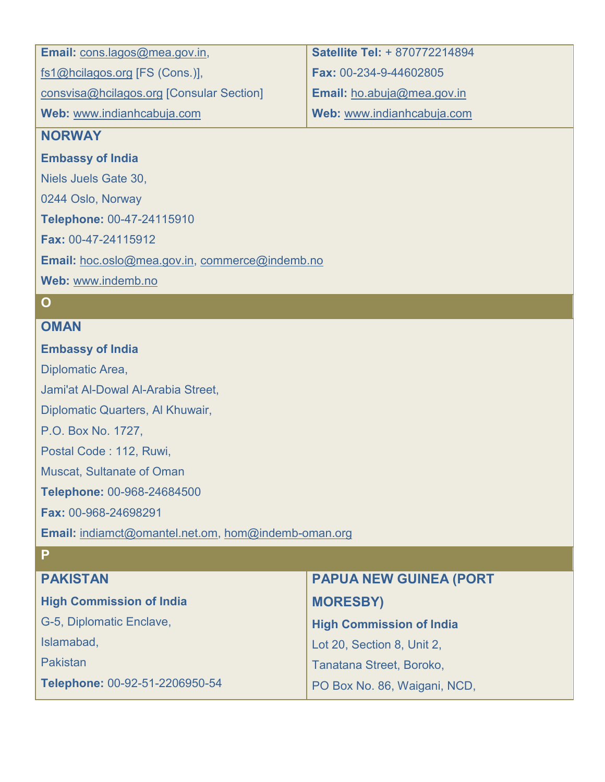| <b>Email:</b> cons.lagos@mea.gov.in,     | Satellite Tel: + 870772214894 |
|------------------------------------------|-------------------------------|
| fs1@hcilagos.org [FS (Cons.)],           | Fax: 00-234-9-44602805        |
| consvisa@hcilagos.org [Consular Section] | Email: ho.abuja@mea.gov.in    |
| Web: www.indianhcabuja.com               | Web: www.indianhcabuja.com    |
| <b>NIODIAIAV</b>                         |                               |

#### **NORWAY**

**Embassy of India**

Niels Juels Gate 30,

0244 Oslo, Norway

**Telephone:** 00-47-24115910

**Fax:** 00-47-24115912

**Email:** [hoc.oslo@mea.gov.in,](mailto:hoc.oslo@mea.gov.in) [commerce@indemb.no](mailto:commerce@indemb.no)

**Web:** [www.indemb.no](http://www.indemb.no/) 

### **O**

**P**

#### **OMAN**

### **Embassy of India**

Diplomatic Area,

Jami'at Al-Dowal Al-Arabia Street,

Diplomatic Quarters, Al Khuwair,

P.O. Box No. 1727,

Postal Code : 112, Ruwi,

Muscat, Sultanate of Oman

**Telephone:** 00-968-24684500

**Fax:** 00-968-24698291

**Email:** [indiamct@omantel.net.om,](mailto:indiamct@omantel.net.omm) [hom@indemb-oman.org](mailto:hom@indemb-oman.org)

| <b>PAKISTAN</b>                 | <b>PAPUA NEW GUINEA (PORT</b>   |
|---------------------------------|---------------------------------|
| <b>High Commission of India</b> | <b>MORESBY)</b>                 |
| G-5, Diplomatic Enclave,        | <b>High Commission of India</b> |
| Islamabad,                      | Lot 20, Section 8, Unit 2,      |
| Pakistan                        | Tanatana Street, Boroko,        |
| Telephone: 00-92-51-2206950-54  | PO Box No. 86, Waigani, NCD,    |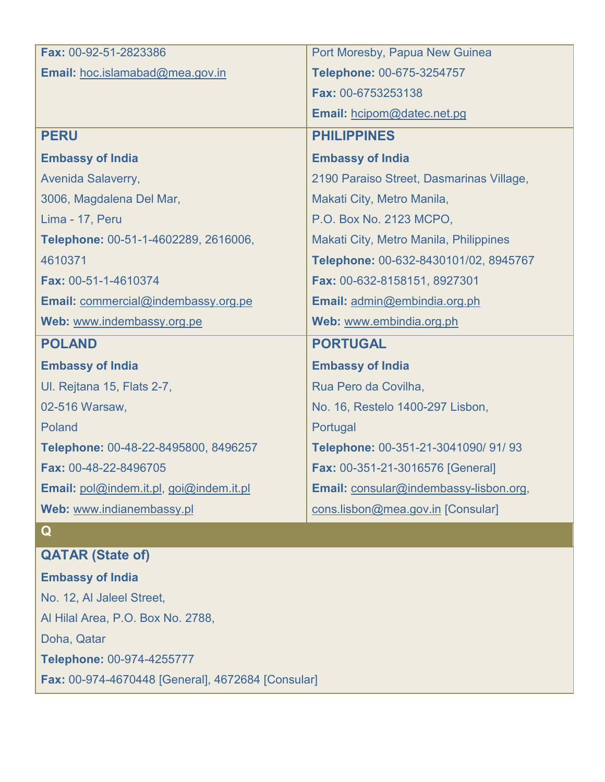| Fax: 00-92-51-2823386                   | Port Moresby, Papua New Guinea           |
|-----------------------------------------|------------------------------------------|
| Email: hoc.islamabad@mea.gov.in         | Telephone: 00-675-3254757                |
|                                         | Fax: 00-6753253138                       |
|                                         | Email: hcipom@datec.net.pg               |
| <b>PERU</b>                             | <b>PHILIPPINES</b>                       |
| <b>Embassy of India</b>                 | <b>Embassy of India</b>                  |
| Avenida Salaverry,                      | 2190 Paraiso Street, Dasmarinas Village, |
| 3006, Magdalena Del Mar,                | Makati City, Metro Manila,               |
| Lima - 17, Peru                         | P.O. Box No. 2123 MCPO,                  |
| Telephone: 00-51-1-4602289, 2616006,    | Makati City, Metro Manila, Philippines   |
| 4610371                                 | Telephone: 00-632-8430101/02, 8945767    |
| Fax: 00-51-1-4610374                    | Fax: 00-632-8158151, 8927301             |
| Email: commercial@indembassy.org.pe     | Email: admin@embindia.org.ph             |
| Web: www.indembassy.org.pe              | Web: www.embindia.org.ph                 |
| <b>POLAND</b>                           | <b>PORTUGAL</b>                          |
| <b>Embassy of India</b>                 | <b>Embassy of India</b>                  |
| UI. Rejtana 15, Flats 2-7,              | Rua Pero da Covilha,                     |
| 02-516 Warsaw,                          | No. 16, Restelo 1400-297 Lisbon,         |
| Poland                                  | Portugal                                 |
| Telephone: 00-48-22-8495800, 8496257    | Telephone: 00-351-21-3041090/ 91/ 93     |
| Fax: 00-48-22-8496705                   | Fax: 00-351-21-3016576 [General]         |
| Email: pol@indem.it.pl, goi@indem.it.pl | Email: consular@indembassy-lisbon.org,   |
| Web: www.indianembassy.pl               | cons.lisbon@mea.gov.in [Consular]        |

### **Q**

### **QATAR (State of)**

**Embassy of India** No. 12, Al Jaleel Street, Al Hilal Area, P.O. Box No. 2788, Doha, Qatar **Telephone:** 00-974-4255777 **Fax:** 00-974-4670448 [General], 4672684 [Consular]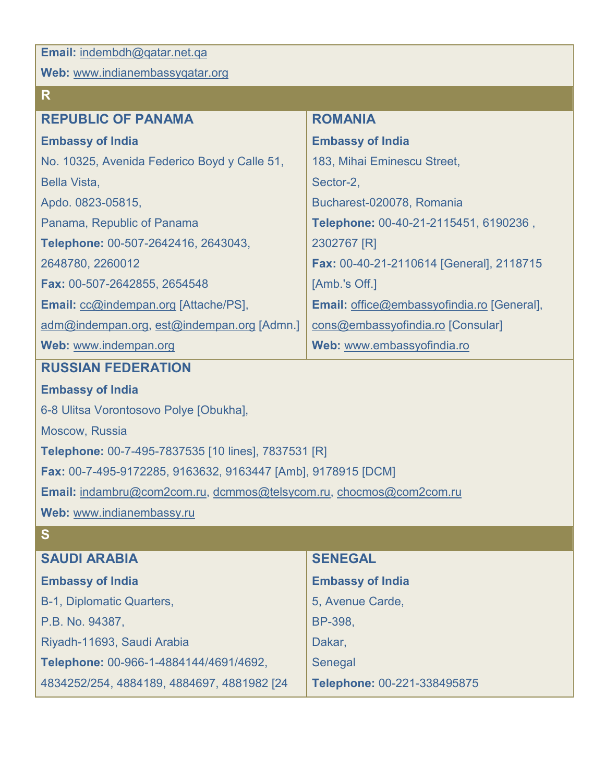**Email:** [indembdh@qatar.net.qa](mailto:indembdh@qatar.net.qa)

**R**

**Web:** [www.indianembassyqatar.org](http://www.indianembassyqatar.org/)

| <b>REPUBLIC OF PANAMA</b>                    | <b>ROMANIA</b>                             |
|----------------------------------------------|--------------------------------------------|
| <b>Embassy of India</b>                      | <b>Embassy of India</b>                    |
| No. 10325, Avenida Federico Boyd y Calle 51, | 183, Mihai Eminescu Street,                |
| Bella Vista,                                 | Sector-2,                                  |
| Apdo. 0823-05815,                            | Bucharest-020078, Romania                  |
| Panama, Republic of Panama                   | Telephone: 00-40-21-2115451, 6190236,      |
| Telephone: 00-507-2642416, 2643043,          | 2302767 [R]                                |
| 2648780, 2260012                             | Fax: 00-40-21-2110614 [General], 2118715   |
| Fax: 00-507-2642855, 2654548                 | [Amb.'s Off.]                              |
| <b>Email: cc@indempan.org [Attache/PS],</b>  | Email: office@embassyofindia.ro [General], |
| adm@indempan.org, est@indempan.org [Admn.]   | cons@embassyofindia.ro [Consular]          |
| Web: www.indempan.org                        | Web: www.embassyofindia.ro                 |

### **RUSSIAN FEDERATION**

#### **Embassy of India**

6-8 Ulitsa Vorontosovo Polye [Obukha],

Moscow, Russia

**Telephone:** 00-7-495-7837535 [10 lines], 7837531 [R]

**Fax:** 00-7-495-9172285, 9163632, 9163447 [Amb], 9178915 [DCM]

**Email:** [indambru@com2com.ru,](mailto:indambru@com2com.ru) [dcmmos@telsycom.ru,](mailto:dcmmos@telsycom.ru) [chocmos@com2com.ru](mailto:chocmos@com2com.ru)

**Web:** [www.indianembassy.ru](http://www.indianembassy.ru/) 

## **S**

| <b>SAUDI ARABIA</b>                        | <b>SENEGAL</b>              |
|--------------------------------------------|-----------------------------|
| <b>Embassy of India</b>                    | <b>Embassy of India</b>     |
| B-1, Diplomatic Quarters,                  | 5, Avenue Carde,            |
| P.B. No. 94387,                            | BP-398,                     |
| Riyadh-11693, Saudi Arabia                 | Dakar,                      |
| Telephone: 00-966-1-4884144/4691/4692,     | Senegal                     |
| 4834252/254, 4884189, 4884697, 4881982 [24 | Telephone: 00-221-338495875 |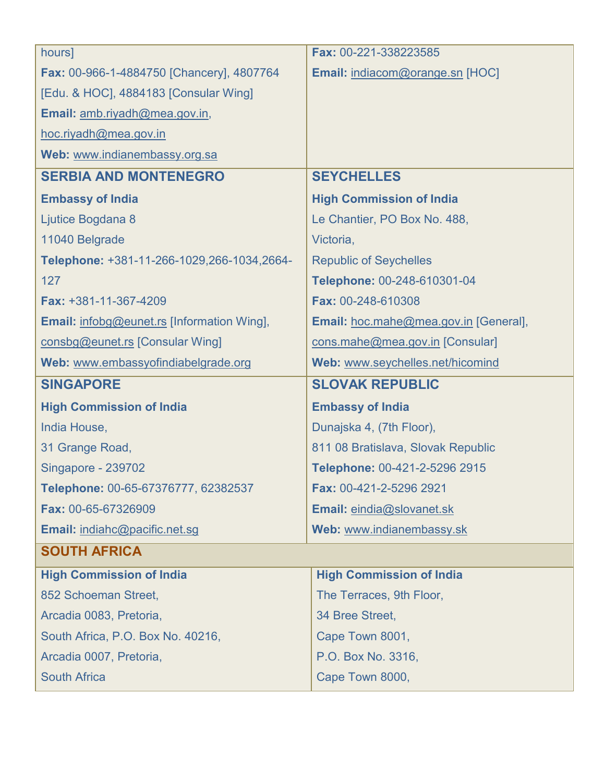| hours]                                            | Fax: 00-221-338223585                 |
|---------------------------------------------------|---------------------------------------|
| <b>Fax: 00-966-1-4884750 [Chancery], 4807764</b>  | Email: indiacom@orange.sn [HOC]       |
| [Edu. & HOC], 4884183 [Consular Wing]             |                                       |
| Email: amb.riyadh@mea.gov.in,                     |                                       |
| hoc.riyadh@mea.gov.in                             |                                       |
| Web: www.indianembassy.org.sa                     |                                       |
| <b>SERBIA AND MONTENEGRO</b>                      | <b>SEYCHELLES</b>                     |
| <b>Embassy of India</b>                           | <b>High Commission of India</b>       |
| Ljutice Bogdana 8                                 | Le Chantier, PO Box No. 488,          |
| 11040 Belgrade                                    | Victoria,                             |
| Telephone: +381-11-266-1029,266-1034,2664-        | <b>Republic of Seychelles</b>         |
| 127                                               | Telephone: 00-248-610301-04           |
| Fax: +381-11-367-4209                             | Fax: 00-248-610308                    |
| <b>Email:</b> infobg@eunet.rs [Information Wing], | Email: hoc.mahe@mea.gov.in [General], |
| consbg@eunet.rs [Consular Wing]                   | cons.mahe@mea.gov.in [Consular]       |
| Web: www.embassyofindiabelgrade.org               | Web: www.seychelles.net/hicomind      |
|                                                   |                                       |
| <b>SINGAPORE</b>                                  | <b>SLOVAK REPUBLIC</b>                |
| <b>High Commission of India</b>                   | <b>Embassy of India</b>               |
| India House,                                      | Dunajska 4, (7th Floor),              |
| 31 Grange Road,                                   | 811 08 Bratislava, Slovak Republic    |
| Singapore - 239702                                | Telephone: 00-421-2-5296 2915         |
| Telephone: 00-65-67376777, 62382537               | Fax: 00-421-2-5296 2921               |
| Fax: 00-65-67326909                               | Email: eindia@slovanet.sk             |
| Email: indiahc@pacific.net.sg                     | Web: www.indianembassy.sk             |
| <b>SOUTH AFRICA</b>                               |                                       |
| <b>High Commission of India</b>                   | <b>High Commission of India</b>       |
| 852 Schoeman Street,                              | The Terraces, 9th Floor,              |
| Arcadia 0083, Pretoria,                           | 34 Bree Street,                       |
| South Africa, P.O. Box No. 40216,                 | Cape Town 8001,                       |
| Arcadia 0007, Pretoria,                           | P.O. Box No. 3316,                    |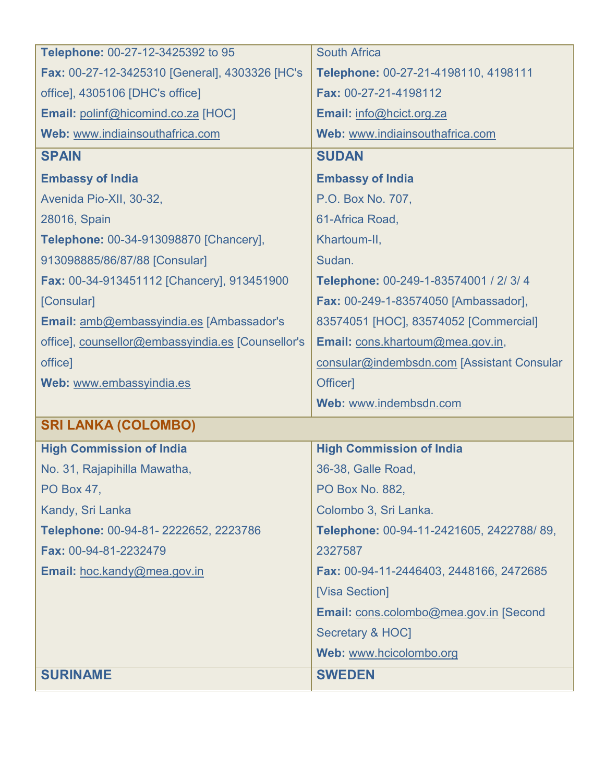| Telephone: 00-27-12-3425392 to 95                 | <b>South Africa</b>                        |
|---------------------------------------------------|--------------------------------------------|
| Fax: 00-27-12-3425310 [General], 4303326 [HC's    | Telephone: 00-27-21-4198110, 4198111       |
| office], 4305106 [DHC's office]                   | Fax: 00-27-21-4198112                      |
| Email: polinf@hicomind.co.za [HOC]                | Email: info@hcict.org.za                   |
| Web: www.indiainsouthafrica.com                   | Web: www.indiainsouthafrica.com            |
| <b>SPAIN</b>                                      | <b>SUDAN</b>                               |
| <b>Embassy of India</b>                           | <b>Embassy of India</b>                    |
| Avenida Pio-XII, 30-32,                           | P.O. Box No. 707,                          |
| 28016, Spain                                      | 61-Africa Road,                            |
| Telephone: 00-34-913098870 [Chancery],            | Khartoum-II,                               |
| 913098885/86/87/88 [Consular]                     | Sudan.                                     |
| Fax: 00-34-913451112 [Chancery], 913451900        | Telephone: 00-249-1-83574001 / 2/ 3/ 4     |
| [Consular]                                        | Fax: 00-249-1-83574050 [Ambassador],       |
| Email: amb@embassyindia.es [Ambassador's          | 83574051 [HOC], 83574052 [Commercial]      |
| office], counsellor@embassyindia.es [Counsellor's | Email: cons.khartoum@mea.gov.in,           |
| office]                                           | consular@indembsdn.com [Assistant Consular |
| Web: www.embassyindia.es                          | Officer]                                   |
|                                                   | Web: www.indembsdn.com                     |
| <b>SRI LANKA (COLOMBO)</b>                        |                                            |
| <b>High Commission of India</b>                   | <b>High Commission of India</b>            |
| No. 31, Rajapihilla Mawatha,                      | 36-38, Galle Road,                         |
| PO Box 47,                                        | PO Box No. 882,                            |
| Kandy, Sri Lanka                                  | Colombo 3, Sri Lanka.                      |
| Telephone: 00-94-81-2222652, 2223786              | Telephone: 00-94-11-2421605, 2422788/89,   |
| Fax: 00-94-81-2232479                             | 2327587                                    |
| Email: hoc.kandy@mea.gov.in                       | Fax: 00-94-11-2446403, 2448166, 2472685    |
|                                                   | [Visa Section]                             |
|                                                   | Email: cons.colombo@mea.gov.in [Second     |
|                                                   | Secretary & HOC]                           |
|                                                   |                                            |
|                                                   | Web: www.hcicolombo.org                    |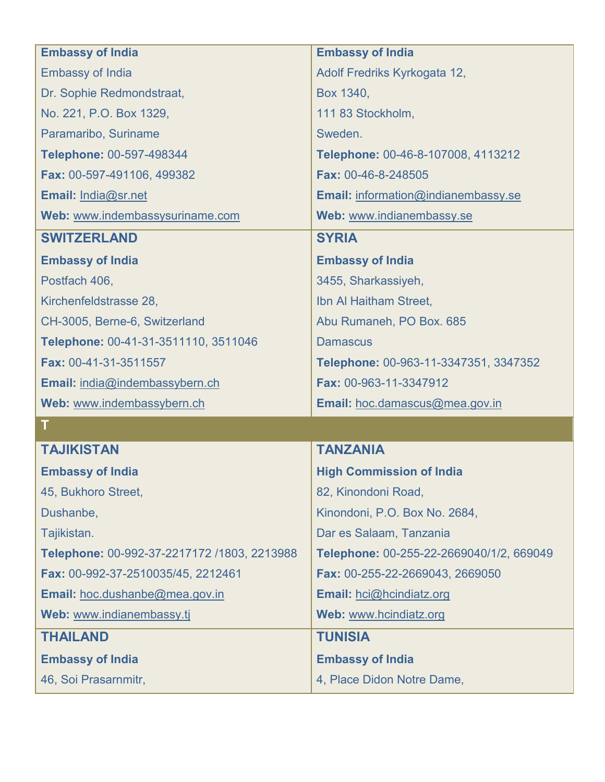| <b>Embassy of India</b>                     | <b>Embassy of India</b>                  |
|---------------------------------------------|------------------------------------------|
| <b>Embassy of India</b>                     | Adolf Fredriks Kyrkogata 12,             |
| Dr. Sophie Redmondstraat,                   | Box 1340,                                |
| No. 221, P.O. Box 1329,                     | 111 83 Stockholm,                        |
| Paramaribo, Suriname                        | Sweden.                                  |
| Telephone: 00-597-498344                    | Telephone: 00-46-8-107008, 4113212       |
| Fax: 00-597-491106, 499382                  | Fax: 00-46-8-248505                      |
| Email: India@sr.net                         | Email: information@indianembassy.se      |
| Web: www.indembassysuriname.com             | Web: www.indianembassy.se                |
| <b>SWITZERLAND</b>                          | <b>SYRIA</b>                             |
| <b>Embassy of India</b>                     | <b>Embassy of India</b>                  |
| Postfach 406,                               | 3455, Sharkassiyeh,                      |
| Kirchenfeldstrasse 28,                      | Ibn Al Haitham Street,                   |
| CH-3005, Berne-6, Switzerland               | Abu Rumaneh, PO Box. 685                 |
| Telephone: 00-41-31-3511110, 3511046        | <b>Damascus</b>                          |
| Fax: 00-41-31-3511557                       | Telephone: 00-963-11-3347351, 3347352    |
| Email: india@indembassybern.ch              | Fax: 00-963-11-3347912                   |
| Web: www.indembassybern.ch                  | Email: hoc.damascus@mea.gov.in           |
| $\mathbf T$                                 |                                          |
| <b>TAJIKISTAN</b>                           | <b>TANZANIA</b>                          |
| <b>Embassy of India</b>                     | <b>High Commission of India</b>          |
| 45, Bukhoro Street,                         | 82, Kinondoni Road,                      |
| Dushanbe,                                   | Kinondoni, P.O. Box No. 2684,            |
| Tajikistan.                                 | Dar es Salaam, Tanzania                  |
| Telephone: 00-992-37-2217172 /1803, 2213988 | Telephone: 00-255-22-2669040/1/2, 669049 |
| Fax: 00-992-37-2510035/45, 2212461          | Fax: 00-255-22-2669043, 2669050          |
| Email: hoc.dushanbe@mea.gov.in              | Email: hci@hcindiatz.org                 |
| Web: www.indianembassy.tj                   | Web: www.hcindiatz.org                   |
| <b>THAILAND</b>                             | <b>TUNISIA</b>                           |
| <b>Embassy of India</b>                     | <b>Embassy of India</b>                  |
| 46, Soi Prasarnmitr,                        | 4, Place Didon Notre Dame,               |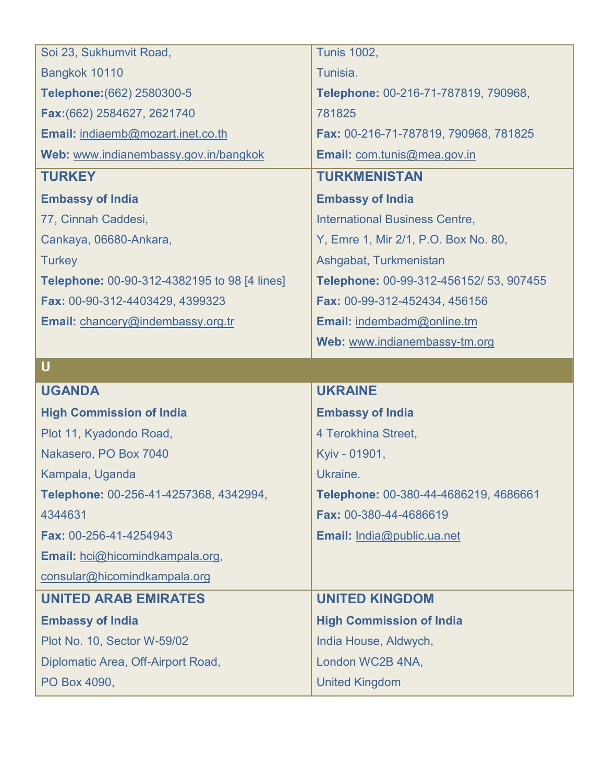| Soi 23, Sukhumvit Road,                             | <b>Tunis 1002,</b>                      |
|-----------------------------------------------------|-----------------------------------------|
| Bangkok 10110                                       | Tunisia.                                |
| Telephone: (662) 2580300-5                          | Telephone: 00-216-71-787819, 790968,    |
| Fax: (662) 2584627, 2621740                         | 781825                                  |
| Email: indiaemb@mozart.inet.co.th                   | Fax: 00-216-71-787819, 790968, 781825   |
| Web: www.indianembassy.gov.in/bangkok               | Email: com.tunis@mea.gov.in             |
| <b>TURKEY</b>                                       | <b>TURKMENISTAN</b>                     |
| <b>Embassy of India</b>                             | <b>Embassy of India</b>                 |
| 77, Cinnah Caddesi,                                 | <b>International Business Centre,</b>   |
| Cankaya, 06680-Ankara,                              | Y, Emre 1, Mir 2/1, P.O. Box No. 80,    |
| <b>Turkey</b>                                       | Ashgabat, Turkmenistan                  |
| <b>Telephone: 00-90-312-4382195 to 98 [4 lines]</b> | Telephone: 00-99-312-456152/ 53, 907455 |
| Fax: 00-90-312-4403429, 4399323                     | Fax: 00-99-312-452434, 456156           |
| Email: chancery@indembassy.org.tr                   | Email: indembadm@online.tm              |
|                                                     | Web: www.indianembassy-tm.org           |
| $\overline{U}$                                      |                                         |
|                                                     |                                         |
| <b>UGANDA</b>                                       | <b>UKRAINE</b>                          |
| <b>High Commission of India</b>                     | <b>Embassy of India</b>                 |
| Plot 11, Kyadondo Road,                             | 4 Terokhina Street,                     |
| Nakasero, PO Box 7040                               | Kyiv - 01901,                           |
| Kampala, Uganda                                     | Ukraine.                                |
| Telephone: 00-256-41-4257368, 4342994,              | Telephone: 00-380-44-4686219, 4686661   |
| 4344631                                             | Fax: 00-380-44-4686619                  |
| Fax: 00-256-41-4254943                              | Email: India@public.ua.net              |
| Email: hci@hicomindkampala.org,                     |                                         |
| consular@hicomindkampala.org                        |                                         |
| <b>UNITED ARAB EMIRATES</b>                         | <b>UNITED KINGDOM</b>                   |
| <b>Embassy of India</b>                             | <b>High Commission of India</b>         |
| Plot No. 10, Sector W-59/02                         | India House, Aldwych,                   |
| Diplomatic Area, Off-Airport Road,                  | London WC2B 4NA,                        |
| PO Box 4090,                                        | <b>United Kingdom</b>                   |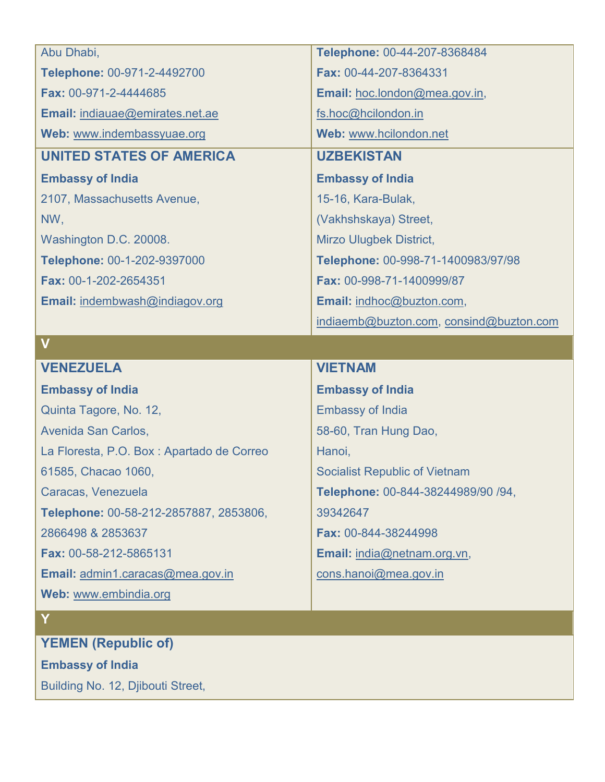| Abu Dhabi,                                 | Telephone: 00-44-207-8368484            |
|--------------------------------------------|-----------------------------------------|
| Telephone: 00-971-2-4492700                | Fax: 00-44-207-8364331                  |
| Fax: 00-971-2-4444685                      | Email: hoc.london@mea.gov.in,           |
| Email: indiauae@emirates.net.ae            | fs.hoc@hcilondon.in                     |
| Web: www.indembassyuae.org                 | Web: www.hcilondon.net                  |
| <b>UNITED STATES OF AMERICA</b>            | <b>UZBEKISTAN</b>                       |
| <b>Embassy of India</b>                    | <b>Embassy of India</b>                 |
| 2107, Massachusetts Avenue,                | 15-16, Kara-Bulak,                      |
| NW,                                        | (Vakhshskaya) Street,                   |
| Washington D.C. 20008.                     | <b>Mirzo Ulugbek District,</b>          |
| Telephone: 00-1-202-9397000                | Telephone: 00-998-71-1400983/97/98      |
| Fax: 00-1-202-2654351                      | Fax: 00-998-71-1400999/87               |
| Email: indembwash@indiagov.org             | Email: indhoc@buzton.com,               |
|                                            | indiaemb@buzton.com, consind@buzton.com |
|                                            |                                         |
| $\mathbf V$                                |                                         |
| <b>VENEZUELA</b>                           | <b>VIETNAM</b>                          |
| <b>Embassy of India</b>                    | <b>Embassy of India</b>                 |
| Quinta Tagore, No. 12,                     | <b>Embassy of India</b>                 |
| Avenida San Carlos,                        | 58-60, Tran Hung Dao,                   |
| La Floresta, P.O. Box : Apartado de Correo | Hanoi,                                  |
| 61585, Chacao 1060,                        | <b>Socialist Republic of Vietnam</b>    |
| Caracas, Venezuela                         | Telephone: 00-844-38244989/90 /94,      |
| Telephone: 00-58-212-2857887, 2853806,     | 39342647                                |
| 2866498 & 2853637                          | Fax: 00-844-38244998                    |
| Fax: 00-58-212-5865131                     | Email: india@netnam.org.vn,             |
| Email: admin1.caracas@mea.gov.in           | cons.hanoi@mea.gov.in                   |
| Web: www.embindia.org                      |                                         |

## **Y**

**YEMEN (Republic of)**

**Embassy of India**

Building No. 12, Djibouti Street,